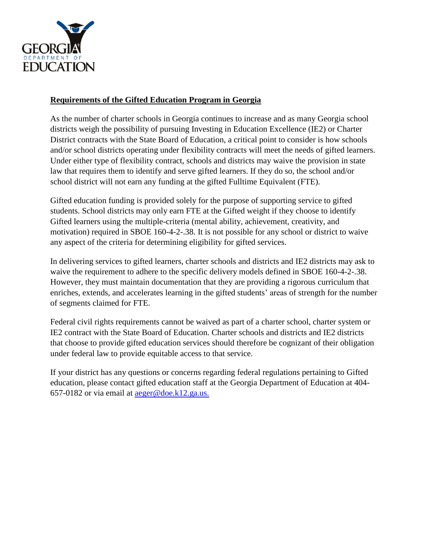

## **Requirements of the Gifted Education Program in Georgia**

As the number of charter schools in Georgia continues to increase and as many Georgia school districts weigh the possibility of pursuing Investing in Education Excellence (IE2) or Charter District contracts with the State Board of Education, a critical point to consider is how schools and/or school districts operating under flexibility contracts will meet the needs of gifted learners. Under either type of flexibility contract, schools and districts may waive the provision in state law that requires them to identify and serve gifted learners. If they do so, the school and/or school district will not earn any funding at the gifted Fulltime Equivalent (FTE).

Gifted education funding is provided solely for the purpose of supporting service to gifted students. School districts may only earn FTE at the Gifted weight if they choose to identify Gifted learners using the multiple-criteria (mental ability, achievement, creativity, and motivation) required in SBOE 160-4-2-.38. It is not possible for any school or district to waive any aspect of the criteria for determining eligibility for gifted services.

In delivering services to gifted learners, charter schools and districts and IE2 districts may ask to waive the requirement to adhere to the specific delivery models defined in SBOE 160-4-2-.38. However, they must maintain documentation that they are providing a rigorous curriculum that enriches, extends, and accelerates learning in the gifted students' areas of strength for the number of segments claimed for FTE.

Federal civil rights requirements cannot be waived as part of a charter school, charter system or IE2 contract with the State Board of Education. Charter schools and districts and IE2 districts that choose to provide gifted education services should therefore be cognizant of their obligation under federal law to provide equitable access to that service.

If your district has any questions or concerns regarding federal regulations pertaining to Gifted education, please contact gifted education staff at the Georgia Department of Education at 404- 657-0182 or via email at [aeger@doe.k12.ga.us.](mailto:aeger@doe.k12.ga.us.)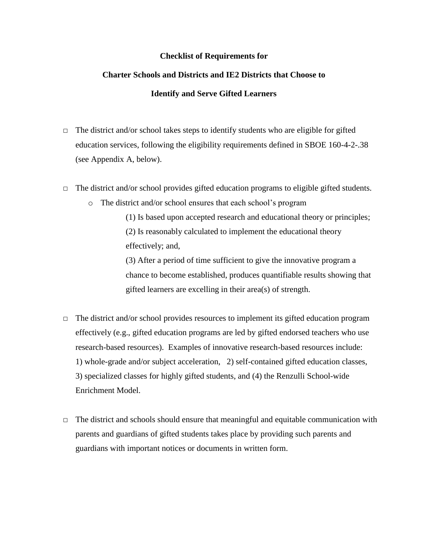## **Checklist of Requirements for**

# **Charter Schools and Districts and IE2 Districts that Choose to Identify and Serve Gifted Learners**

- $\Box$  The district and/or school takes steps to identify students who are eligible for gifted education services, following the eligibility requirements defined in SBOE 160-4-2-.38 (see Appendix A, below).
- $\Box$  The district and/or school provides gifted education programs to eligible gifted students.
	- o The district and/or school ensures that each school's program

(1) Is based upon accepted research and educational theory or principles; (2) Is reasonably calculated to implement the educational theory effectively; and,

(3) After a period of time sufficient to give the innovative program a chance to become established, produces quantifiable results showing that gifted learners are excelling in their area(s) of strength.

- $\Box$  The district and/or school provides resources to implement its gifted education program effectively (e.g., gifted education programs are led by gifted endorsed teachers who use research-based resources). Examples of innovative research-based resources include: 1) whole-grade and/or subject acceleration, 2) self-contained gifted education classes, 3) specialized classes for highly gifted students, and (4) the Renzulli School-wide Enrichment Model.
- $\Box$  The district and schools should ensure that meaningful and equitable communication with parents and guardians of gifted students takes place by providing such parents and guardians with important notices or documents in written form.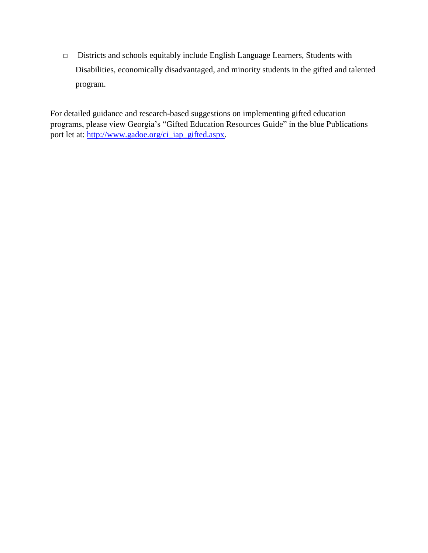□ Districts and schools equitably include English Language Learners, Students with Disabilities, economically disadvantaged, and minority students in the gifted and talented program.

For detailed guidance and research-based suggestions on implementing gifted education programs, please view Georgia's "Gifted Education Resources Guide" in the blue Publications port let at: [http://www.gadoe.org/ci\\_iap\\_gifted.aspx.](http://www.gadoe.org/ci_iap_gifted.aspx)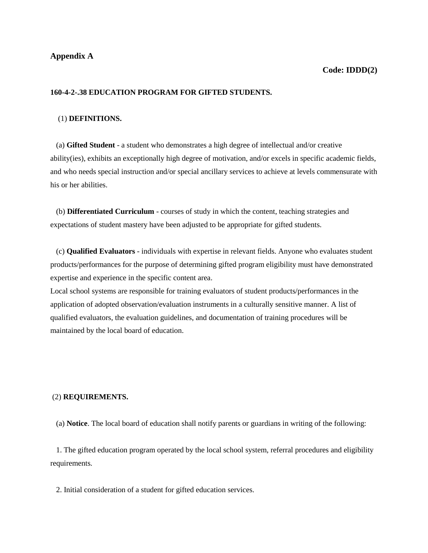## **160-4-2-.38 EDUCATION PROGRAM FOR GIFTED STUDENTS.**

#### (1) **DEFINITIONS.**

 (a) **Gifted Student** - a student who demonstrates a high degree of intellectual and/or creative ability(ies), exhibits an exceptionally high degree of motivation, and/or excels in specific academic fields, and who needs special instruction and/or special ancillary services to achieve at levels commensurate with his or her abilities.

 (b) **Differentiated Curriculum** - courses of study in which the content, teaching strategies and expectations of student mastery have been adjusted to be appropriate for gifted students.

 (c) **Qualified Evaluators** - individuals with expertise in relevant fields. Anyone who evaluates student products/performances for the purpose of determining gifted program eligibility must have demonstrated expertise and experience in the specific content area.

Local school systems are responsible for training evaluators of student products/performances in the application of adopted observation/evaluation instruments in a culturally sensitive manner. A list of qualified evaluators, the evaluation guidelines, and documentation of training procedures will be maintained by the local board of education.

#### (2) **REQUIREMENTS.**

(a) **Notice**. The local board of education shall notify parents or guardians in writing of the following:

 1. The gifted education program operated by the local school system, referral procedures and eligibility requirements.

2. Initial consideration of a student for gifted education services.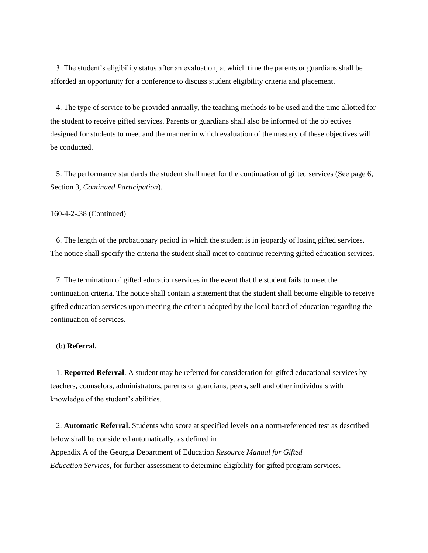3. The student's eligibility status after an evaluation, at which time the parents or guardians shall be afforded an opportunity for a conference to discuss student eligibility criteria and placement.

 4. The type of service to be provided annually, the teaching methods to be used and the time allotted for the student to receive gifted services. Parents or guardians shall also be informed of the objectives designed for students to meet and the manner in which evaluation of the mastery of these objectives will be conducted.

 5. The performance standards the student shall meet for the continuation of gifted services (See page 6, Section 3, *Continued Participation*).

160-4-2-.38 (Continued)

 6. The length of the probationary period in which the student is in jeopardy of losing gifted services. The notice shall specify the criteria the student shall meet to continue receiving gifted education services.

 7. The termination of gifted education services in the event that the student fails to meet the continuation criteria. The notice shall contain a statement that the student shall become eligible to receive gifted education services upon meeting the criteria adopted by the local board of education regarding the continuation of services.

#### (b) **Referral.**

 1. **Reported Referral**. A student may be referred for consideration for gifted educational services by teachers, counselors, administrators, parents or guardians, peers, self and other individuals with knowledge of the student's abilities.

 2. **Automatic Referral**. Students who score at specified levels on a norm-referenced test as described below shall be considered automatically, as defined in Appendix A of the Georgia Department of Education *Resource Manual for Gifted Education Services*, for further assessment to determine eligibility for gifted program services.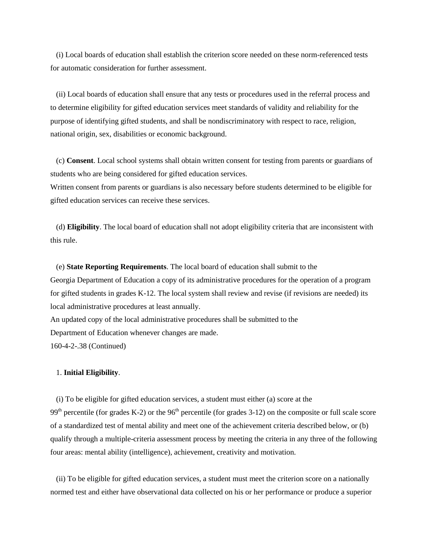(i) Local boards of education shall establish the criterion score needed on these norm-referenced tests for automatic consideration for further assessment.

 (ii) Local boards of education shall ensure that any tests or procedures used in the referral process and to determine eligibility for gifted education services meet standards of validity and reliability for the purpose of identifying gifted students, and shall be nondiscriminatory with respect to race, religion, national origin, sex, disabilities or economic background.

 (c) **Consent**. Local school systems shall obtain written consent for testing from parents or guardians of students who are being considered for gifted education services.

Written consent from parents or guardians is also necessary before students determined to be eligible for gifted education services can receive these services.

 (d) **Eligibility**. The local board of education shall not adopt eligibility criteria that are inconsistent with this rule.

 (e) **State Reporting Requirements**. The local board of education shall submit to the Georgia Department of Education a copy of its administrative procedures for the operation of a program for gifted students in grades K-12. The local system shall review and revise (if revisions are needed) its local administrative procedures at least annually. An updated copy of the local administrative procedures shall be submitted to the

Department of Education whenever changes are made.

160-4-2-.38 (Continued)

## 1. **Initial Eligibility**.

 (i) To be eligible for gifted education services, a student must either (a) score at the 99<sup>th</sup> percentile (for grades K-2) or the 96<sup>th</sup> percentile (for grades 3-12) on the composite or full scale score of a standardized test of mental ability and meet one of the achievement criteria described below, or (b) qualify through a multiple-criteria assessment process by meeting the criteria in any three of the following four areas: mental ability (intelligence), achievement, creativity and motivation.

 (ii) To be eligible for gifted education services, a student must meet the criterion score on a nationally normed test and either have observational data collected on his or her performance or produce a superior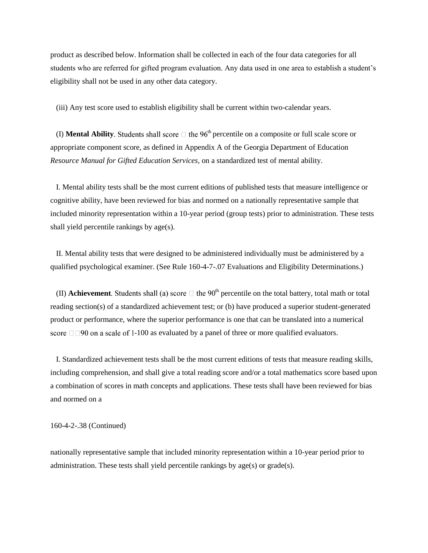product as described below. Information shall be collected in each of the four data categories for all students who are referred for gifted program evaluation. Any data used in one area to establish a student's eligibility shall not be used in any other data category.

(iii) Any test score used to establish eligibility shall be current within two-calendar years.

(I) **Mental Ability**. Students shall score  $\Box$  the 96<sup>th</sup> percentile on a composite or full scale score or appropriate component score, as defined in Appendix A of the Georgia Department of Education *Resource Manual for Gifted Education Services,* on a standardized test of mental ability.

 I. Mental ability tests shall be the most current editions of published tests that measure intelligence or cognitive ability, have been reviewed for bias and normed on a nationally representative sample that included minority representation within a 10-year period (group tests) prior to administration. These tests shall yield percentile rankings by age(s).

 II. Mental ability tests that were designed to be administered individually must be administered by a qualified psychological examiner. (See Rule 160-4-7-.07 Evaluations and Eligibility Determinations.)

(II) **Achievement**. Students shall (a) score  $\Box$  the 90<sup>th</sup> percentile on the total battery, total math or total reading section(s) of a standardized achievement test; or (b) have produced a superior student-generated product or performance, where the superior performance is one that can be translated into a numerical score  $\Box$  $\Box$ 90 on a scale of 1-100 as evaluated by a panel of three or more qualified evaluators.

 I. Standardized achievement tests shall be the most current editions of tests that measure reading skills, including comprehension, and shall give a total reading score and/or a total mathematics score based upon a combination of scores in math concepts and applications. These tests shall have been reviewed for bias and normed on a

160-4-2-.38 (Continued)

nationally representative sample that included minority representation within a 10-year period prior to administration. These tests shall yield percentile rankings by  $age(s)$  or  $grade(s)$ .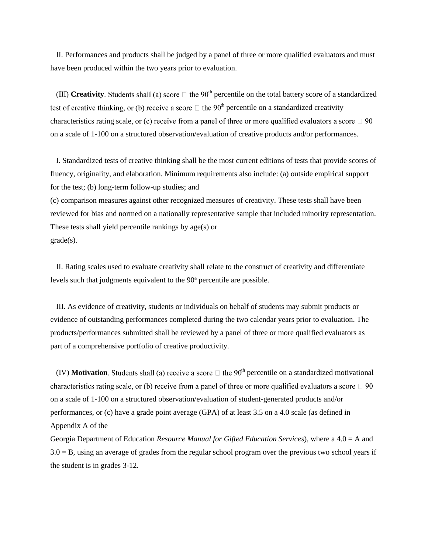II. Performances and products shall be judged by a panel of three or more qualified evaluators and must have been produced within the two years prior to evaluation.

(III) **Creativity**. Students shall (a) score  $\Box$  the 90<sup>th</sup> percentile on the total battery score of a standardized test of creative thinking, or (b) receive a score  $\Box$  the 90<sup>th</sup> percentile on a standardized creativity characteristics rating scale, or (c) receive from a panel of three or more qualified evaluators a score  $\Box$  90 on a scale of 1-100 on a structured observation/evaluation of creative products and/or performances.

 I. Standardized tests of creative thinking shall be the most current editions of tests that provide scores of fluency, originality, and elaboration. Minimum requirements also include: (a) outside empirical support for the test; (b) long-term follow-up studies; and

(c) comparison measures against other recognized measures of creativity. These tests shall have been reviewed for bias and normed on a nationally representative sample that included minority representation. These tests shall yield percentile rankings by age(s) or grade(s).

 II. Rating scales used to evaluate creativity shall relate to the construct of creativity and differentiate levels such that judgments equivalent to the  $90<sup>th</sup>$  percentile are possible.

 III. As evidence of creativity, students or individuals on behalf of students may submit products or evidence of outstanding performances completed during the two calendar years prior to evaluation. The products/performances submitted shall be reviewed by a panel of three or more qualified evaluators as part of a comprehensive portfolio of creative productivity.

(IV) **Motivation**. Students shall (a) receive a score  $\Box$  the 90<sup>th</sup> percentile on a standardized motivational characteristics rating scale, or (b) receive from a panel of three or more qualified evaluators a score  $\Box$  90 on a scale of 1-100 on a structured observation/evaluation of student-generated products and/or performances, or (c) have a grade point average (GPA) of at least 3.5 on a 4.0 scale (as defined in Appendix A of the

Georgia Department of Education *Resource Manual for Gifted Education Services*), where a 4.0 = A and  $3.0 = B$ , using an average of grades from the regular school program over the previous two school years if the student is in grades 3-12.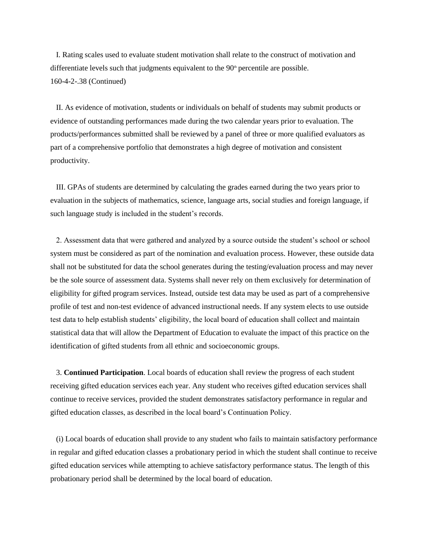I. Rating scales used to evaluate student motivation shall relate to the construct of motivation and differentiate levels such that judgments equivalent to the  $90<sup>th</sup>$  percentile are possible. 160-4-2-.38 (Continued)

 II. As evidence of motivation, students or individuals on behalf of students may submit products or evidence of outstanding performances made during the two calendar years prior to evaluation. The products/performances submitted shall be reviewed by a panel of three or more qualified evaluators as part of a comprehensive portfolio that demonstrates a high degree of motivation and consistent productivity.

 III. GPAs of students are determined by calculating the grades earned during the two years prior to evaluation in the subjects of mathematics, science, language arts, social studies and foreign language, if such language study is included in the student's records.

 2. Assessment data that were gathered and analyzed by a source outside the student's school or school system must be considered as part of the nomination and evaluation process. However, these outside data shall not be substituted for data the school generates during the testing/evaluation process and may never be the sole source of assessment data. Systems shall never rely on them exclusively for determination of eligibility for gifted program services. Instead, outside test data may be used as part of a comprehensive profile of test and non-test evidence of advanced instructional needs. If any system elects to use outside test data to help establish students' eligibility, the local board of education shall collect and maintain statistical data that will allow the Department of Education to evaluate the impact of this practice on the identification of gifted students from all ethnic and socioeconomic groups.

 3. **Continued Participation**. Local boards of education shall review the progress of each student receiving gifted education services each year. Any student who receives gifted education services shall continue to receive services, provided the student demonstrates satisfactory performance in regular and gifted education classes, as described in the local board's Continuation Policy.

 (i) Local boards of education shall provide to any student who fails to maintain satisfactory performance in regular and gifted education classes a probationary period in which the student shall continue to receive gifted education services while attempting to achieve satisfactory performance status. The length of this probationary period shall be determined by the local board of education.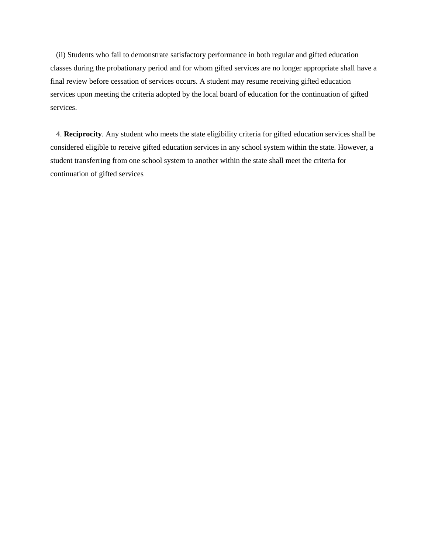(ii) Students who fail to demonstrate satisfactory performance in both regular and gifted education classes during the probationary period and for whom gifted services are no longer appropriate shall have a final review before cessation of services occurs. A student may resume receiving gifted education services upon meeting the criteria adopted by the local board of education for the continuation of gifted services.

 4. **Reciprocity**. Any student who meets the state eligibility criteria for gifted education services shall be considered eligible to receive gifted education services in any school system within the state. However, a student transferring from one school system to another within the state shall meet the criteria for continuation of gifted services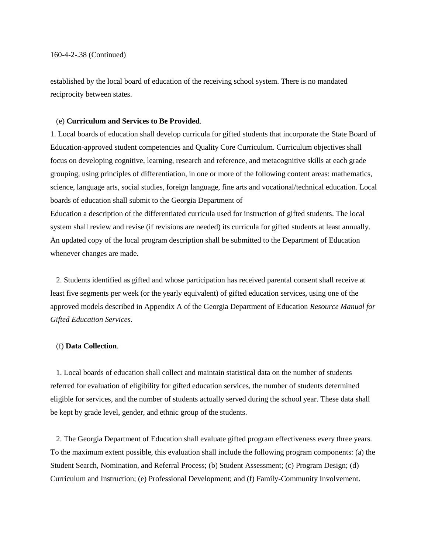established by the local board of education of the receiving school system. There is no mandated reciprocity between states.

#### (e) **Curriculum and Services to Be Provided**.

1. Local boards of education shall develop curricula for gifted students that incorporate the State Board of Education-approved student competencies and Quality Core Curriculum. Curriculum objectives shall focus on developing cognitive, learning, research and reference, and metacognitive skills at each grade grouping, using principles of differentiation, in one or more of the following content areas: mathematics, science, language arts, social studies, foreign language, fine arts and vocational/technical education. Local boards of education shall submit to the Georgia Department of

Education a description of the differentiated curricula used for instruction of gifted students. The local system shall review and revise (if revisions are needed) its curricula for gifted students at least annually. An updated copy of the local program description shall be submitted to the Department of Education whenever changes are made.

 2. Students identified as gifted and whose participation has received parental consent shall receive at least five segments per week (or the yearly equivalent) of gifted education services, using one of the approved models described in Appendix A of the Georgia Department of Education *Resource Manual for Gifted Education Services*.

#### (f) **Data Collection**.

 1. Local boards of education shall collect and maintain statistical data on the number of students referred for evaluation of eligibility for gifted education services, the number of students determined eligible for services, and the number of students actually served during the school year. These data shall be kept by grade level, gender, and ethnic group of the students.

 2. The Georgia Department of Education shall evaluate gifted program effectiveness every three years. To the maximum extent possible, this evaluation shall include the following program components: (a) the Student Search, Nomination, and Referral Process; (b) Student Assessment; (c) Program Design; (d) Curriculum and Instruction; (e) Professional Development; and (f) Family-Community Involvement.